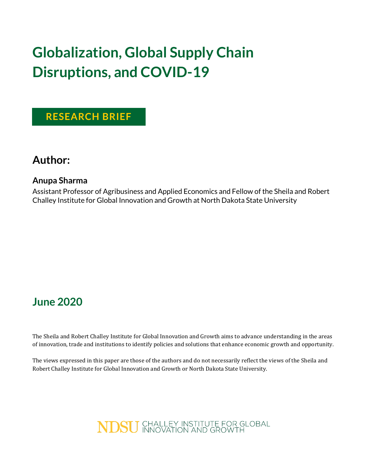# **Globalization, Global Supply Chain Disruptions, and COVID-19**

## **RESEARCH BRIEF**

# **Author:**

### **Anupa Sharma**

Assistant Professor of Agribusiness and Applied Economics and Fellow of the Sheila and Robert Challey Institute for Global Innovation and Growth at North Dakota State University

# **June 2020**

The Sheila and Robert Challey Institute for Global Innovation and Growth aims to advance understanding in the areas of innovation, trade and institutions to identify policies and solutions that enhance economic growth and opportunity.

The views expressed in this paper are those of the authors and do not necessarily reflect the views of the Sheila and Robert Challey Institute for Global Innovation and Growth or North Dakota State University.

# NDSU CHALLEY INSTITUTE FOR GLOBAL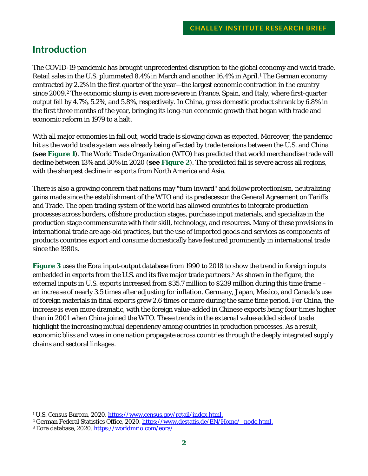## **Introduction**

The COVID-19 pandemic has brought unprecedented disruption to the global economy and world trade. Retail sales in the U.S. plummeted 8.4% in March and another [1](#page-1-0)6.4% in April.<sup>1</sup> The German economy contracted by 2.2% in the first quarter of the year—the largest economic contraction in the country since [2](#page-1-1)009.<sup>2</sup> The economic slump is even more severe in France, Spain, and Italy, where first-quarter output fell by 4.7%, 5.2%, and 5.8%, respectively. In China, gross domestic product shrank by 6.8% in the first three months of the year, bringing its long-run economic growth that began with trade and economic reform in 1979 to a halt.

With all major economies in fall out, world trade is slowing down as expected. Moreover, the pandemic hit as the world trade system was already being affected by trade tensions between the U.S. and China (**see Figure 1**). The World Trade Organization (WTO) has predicted that world merchandise trade will decline between 13% and 30% in 2020 (**see Figure 2**). The predicted fall is severe across all regions, with the sharpest decline in exports from North America and Asia.

There is also a growing concern that nations may "turn inward" and follow protectionism, neutralizing gains made since the establishment of the WTO and its predecessor the General Agreement on Tariffs and Trade. The open trading system of the world has allowed countries to integrate production processes across borders, offshore production stages, purchase input materials, and specialize in the production stage commensurate with their skill, technology, and resources. Many of these provisions in international trade are age-old practices, but the use of imported goods and services as components of products countries export and consume domestically have featured prominently in international trade since the 1980s.

**Figure 3** uses the Eora input-output database from 1990 to 2018 to show the trend in foreign inputs embedded in exports from the U.S. and its five major trade partners.<sup>[3](#page-1-2)</sup> As shown in the figure, the external inputs in U.S. exports increased from \$35.7 million to \$239 million during this time frame – an increase of nearly 3.5 times after adjusting for inflation. Germany, Japan, Mexico, and Canada's use of foreign materials in final exports grew 2.6 times or more during the same time period. For China, the increase is even more dramatic, with the foreign value-added in Chinese exports being four times higher than in 2001 when China joined the WTO. These trends in the external value-added side of trade highlight the increasing mutual dependency among countries in production processes. As a result, economic bliss and woes in one nation propagate across countries through the deeply integrated supply chains and sectoral linkages.

<span id="page-1-0"></span><sup>&</sup>lt;sup>1</sup> U.S. Census Bureau, 2020. [https://www.census.gov/retail/index.html.](https://www.census.gov/retail/index.html)

<span id="page-1-1"></span><sup>&</sup>lt;sup>2</sup> German Federal Statistics Office, 2020[. https://www.destatis.de/EN/Home/\\_node.html.](https://www.destatis.de/EN/Home/_node.html)

<span id="page-1-2"></span><sup>3</sup> Eora database, 2020.<https://worldmrio.com/eora/>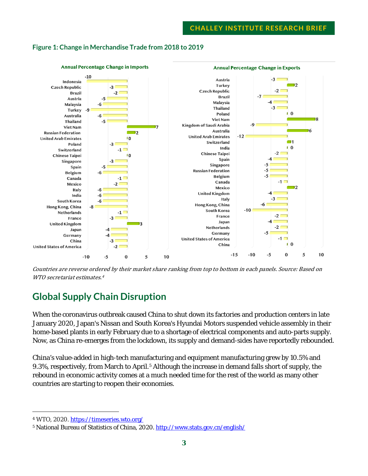

#### **Figure 1: Change in Merchandise Trade from 2018 to 2019**

Countries are reverse ord[ere](#page-2-0)d by their market share ranking from top to bottom in each panels. Source: Based on WTO secretariat estimates.4

# **Global Supply Chain Disruption**

When the coronavirus outbreak caused China to shut down its factories and production centers in late January 2020, Japan's Nissan and South Korea's Hyundai Motors suspended vehicle assembly in their home-based plants in early February due to a shortage of electrical components and auto-parts supply. Now, as China re-emerges from the lockdown, its supply and demand-sides have reportedly rebounded.

China's value-added in high-tech manufacturing and equipment manufacturing grew by 10.5% and 9.3%, respectively, from March to April.[5](#page-2-1) Although the increase in demand falls short of supply, the rebound in economic activity comes at a much needed time for the rest of the world as many other countries are starting to reopen their economies.

<span id="page-2-0"></span> <sup>4</sup> WTO, 2020.<https://timeseries.wto.org/>

<span id="page-2-1"></span><sup>5</sup> National Bureau of Statistics of China, 2020.<http://www.stats.gov.cn/english/>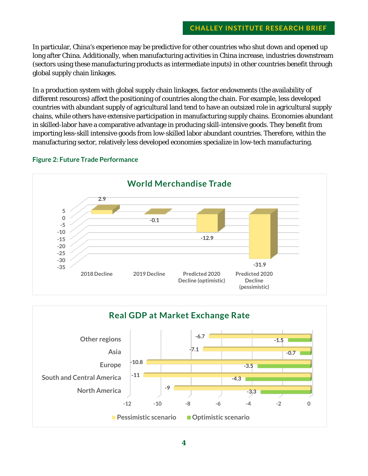In particular, China's experience may be predictive for other countries who shut down and opened up long after China. Additionally, when manufacturing activities in China increase, industries downstream (sectors using these manufacturing products as intermediate inputs) in other countries benefit through global supply chain linkages.

In a production system with global supply chain linkages, factor endowments (the availability of different resources) affect the positioning of countries along the chain. For example, less developed countries with abundant supply of agricultural land tend to have an outsized role in agricultural supply chains, while others have extensive participation in manufacturing supply chains. Economies abundant in skilled-labor have a comparative advantage in producing skill-intensive goods. They benefit from importing less-skill intensive goods from low-skilled labor abundant countries. Therefore, within the manufacturing sector, relatively less developed economies specialize in low-tech manufacturing.



#### **Figure 2: Future Trade Performance**

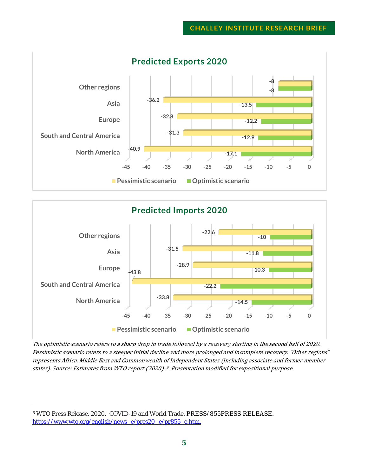



The optimistic scenario refers to a sharp drop in trade followed by a recovery starting in the second half of 2020. Pessimistic scenario refers to a steeper initial decline and more prolonged and incomplete recovery. "Other regions" represents Africa, Middle East and Commonwealth [of](#page-4-0) Independent States (including associate and former member states). Source: Estimates from WTO report (2020). <sup>6</sup> Presentation modified for expositional purpose.

<span id="page-4-0"></span> <sup>6</sup> WTO Press Release, 2020. COVID-19 and World Trade. PRESS/855PRESS RELEASE. [https://www.wto.org/english/news\\_e/pres20\\_e/pr855\\_e.htm.](https://www.wto.org/english/news_e/pres20_e/pr855_e.htm)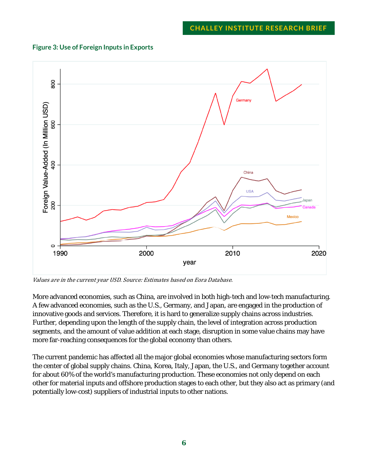

**Figure 3: Use of Foreign Inputs in Exports**

Values are in the current year USD. Source: Estimates based on Eora Database.

More advanced economies, such as China, are involved in both high-tech and low-tech manufacturing. A few advanced economies, such as the U.S., Germany, and Japan, are engaged in the production of innovative goods and services. Therefore, it is hard to generalize supply chains across industries. Further, depending upon the length of the supply chain, the level of integration across production segments, and the amount of value addition at each stage, disruption in some value chains may have more far-reaching consequences for the global economy than others.

The current pandemic has affected all the major global economies whose manufacturing sectors form the center of global supply chains. China, Korea, Italy, Japan, the U.S., and Germany together account for about 60% of the world's manufacturing production. These economies not only depend on each other for material inputs and offshore production stages to each other, but they also act as primary (and potentially low-cost) suppliers of industrial inputs to other nations.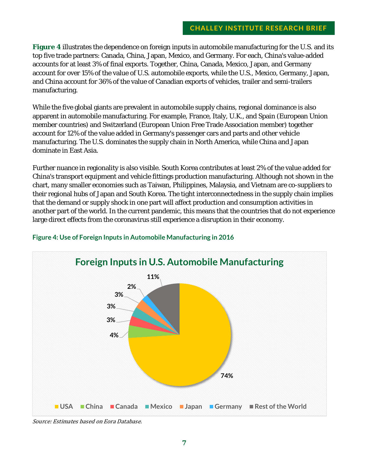**Figure 4** illustrates the dependence on foreign inputs in automobile manufacturing for the U.S. and its top five trade partners: Canada, China, Japan, Mexico, and Germany. For each, China's value-added accounts for at least 3% of final exports. Together, China, Canada, Mexico, Japan, and Germany account for over 15% of the value of U.S. automobile exports, while the U.S., Mexico, Germany, Japan, and China account for 36% of the value of Canadian exports of vehicles, trailer and semi-trailers manufacturing.

While the five global giants are prevalent in automobile supply chains, regional dominance is also apparent in automobile manufacturing. For example, France, Italy, U.K., and Spain (European Union member countries) and Switzerland (European Union Free Trade Association member) together account for 12% of the value added in Germany's passenger cars and parts and other vehicle manufacturing. The U.S. dominates the supply chain in North America, while China and Japan dominate in East Asia.

Further nuance in regionality is also visible. South Korea contributes at least 2% of the value added for China's transport equipment and vehicle fittings production manufacturing. Although not shown in the chart, many smaller economies such as Taiwan, Philippines, Malaysia, and Vietnam are co-suppliers to their regional hubs of Japan and South Korea. The tight interconnectedness in the supply chain implies that the demand or supply shock in one part will affect production and consumption activities in another part of the world. In the current pandemic, this means that the countries that do not experience large direct effects from the coronavirus still experience a disruption in their economy.



#### **Figure 4: Use of Foreign Inputs in Automobile Manufacturing in 2016**

Source: Estimates based on Eora Database.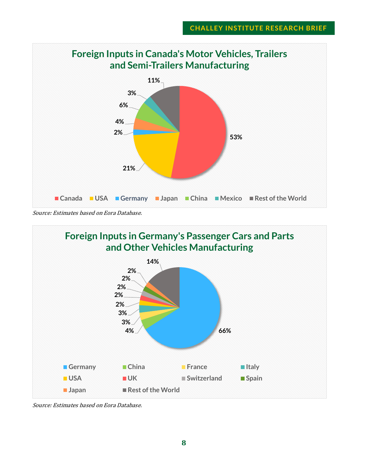

Source: Estimates based on Eora Database.



Source: Estimates based on Eora Database.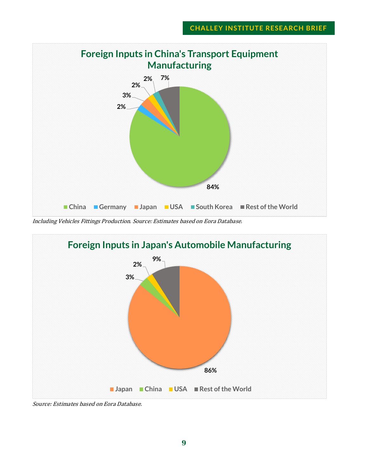

Including Vehicles Fittings Production. Source: Estimates based on Eora Database.



Source: Estimates based on Eora Database.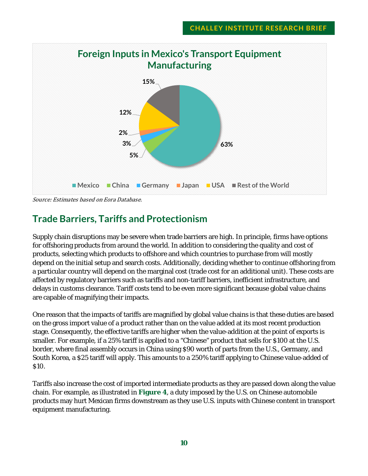

Source: Estimates based on Eora Database.

# **Trade Barriers, Tariffs and Protectionism**

Supply chain disruptions may be severe when trade barriers are high. In principle, firms have options for offshoring products from around the world. In addition to considering the quality and cost of products, selecting which products to offshore and which countries to purchase from will mostly depend on the initial setup and search costs. Additionally, deciding whether to continue offshoring from a particular country will depend on the marginal cost (trade cost for an additional unit). These costs are affected by regulatory barriers such as tariffs and non-tariff barriers, inefficient infrastructure, and delays in customs clearance. Tariff costs tend to be even more significant because global value chains are capable of magnifying their impacts.

One reason that the impacts of tariffs are magnified by global value chains is that these duties are based on the gross import value of a product rather than on the value added at its most recent production stage. Consequently, the effective tariffs are higher when the value-addition at the point of exports is smaller. For example, if a 25% tariff is applied to a "Chinese" product that sells for \$100 at the U.S. border, where final assembly occurs in China using \$90 worth of parts from the U.S., Germany, and South Korea, a \$25 tariff will apply. This amounts to a 250% tariff applying to Chinese value-added of \$10.

Tariffs also increase the cost of imported intermediate products as they are passed down along the value chain. For example, as illustrated in **Figure 4**, a duty imposed by the U.S. on Chinese automobile products may hurt Mexican firms downstream as they use U.S. inputs with Chinese content in transport equipment manufacturing.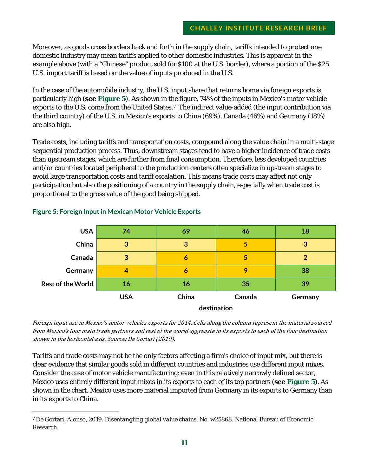Moreover, as goods cross borders back and forth in the supply chain, tariffs intended to protect one domestic industry may mean tariffs applied to other domestic industries. This is apparent in the example above (with a "Chinese" product sold for \$100 at the U.S. border), where a portion of the \$25 U.S. import tariff is based on the value of inputs produced in the U.S.

In the case of the automobile industry, the U.S. input share that returns home via foreign exports is particularly high (**see Figure 5**). As shown in the figure, 74% of the inputs in Mexico's motor vehicle exports to the U.S. come from the United States[.7](#page-10-0) The indirect value-added (the input contribution via the third country) of the U.S. in Mexico's exports to China (69%), Canada (46%) and Germany (18%) are also high.

Trade costs, including tariffs and transportation costs, compound along the value chain in a multi-stage sequential production process. Thus, downstream stages tend to have a higher incidence of trade costs than upstream stages, which are further from final consumption. Therefore, less developed countries and/or countries located peripheral to the production centers often specialize in upstream stages to avoid large transportation costs and tariff escalation. This means trade costs may affect not only participation but also the positioning of a country in the supply chain, especially when trade cost is proportional to the gross value of the good being shipped.



#### **Figure 5: Foreign Input in Mexican Motor Vehicle Exports**

Foreign input use in Mexico's motor vehicles exports for 2014. Cells along the column represent the material sourced from Mexico's four main trade partners and rest of the world aggregate in its exports to each of the four destination shown in the horizontal axis. Source: De Gortari (2019).

Tariffs and trade costs may not be the only factors affecting a firm's choice of input mix, but there is clear evidence that similar goods sold in different countries and industries use different input mixes. Consider the case of motor vehicle manufacturing; even in this relatively narrowly defined sector, Mexico uses entirely different input mixes in its exports to each of its top partners (**see Figure 5**). As shown in the chart, Mexico uses more material imported from Germany in its exports to Germany than in its exports to China.

<span id="page-10-0"></span> <sup>7</sup> De Gortari, Alonso, 2019. *Disentangling global value chains*. No. w25868. National Bureau of Economic Research.